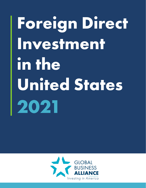# **Foreign Direct Investment**  in the **United States 2021**

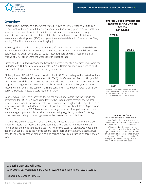

#### **Overview**

Foreign direct investment in the United States, known as FDIUS, reached \$4.6 trillion cumulatively at the end of 2020 on a historical-cost basis. Every year, international firms make new investments, which benefit the American economy in numerous ways. International companies in the United States build new factories, fund U.S.-based research and development (R&D), and grow their well-established U.S. operations. They employ 7.9 million Americans in well-paying jobs.

Following all-time highs in inward investment of \$484 billion in 2015 and \$480 billion in 2016, international firms' investment in the United States shrank to \$325 billion in 2017 before leveling out in 2018 and 2019. But last year's foreign direct investment (FDI) inflows of \$164 billion were the weakest of the past decade.

Historically, the United Kingdom had been the largest cumulative overseas investor in the United States. But because of divestments in 2019, Britain dropped in ranking to fourth place, behind Japan, Canada, and Germany, respectively.

Globally, inward FDI fell 35 percent to \$1 trillion in 2020, according to the United Nations Conference on Trade and Development (UNCTAD) *World Investment Report 2021 (WIR21)*. UNCTAD reported that lockdowns across the world due to COVID-19 delayed investment projects. The organization projects that global FDI will bottom out this year and then recover with an overall increase of 10-15 percent, and an additional increase of 15-20 percent expected in 2022, according to the *WIR21*.

Despite weak FDIUS flows last year, the United States once again was the world's top destination for FDI in 2020; and cumulatively, the United States remains the world's prime location for international investment. However, with heightened competition from other countries, the United States' share of global investment shrank from 38 percent in 2000 to 26 percent in 2020. Most nations are eager to attract foreign investment, but many engage in protectionist activities, such as raising regulatory barriers for foreign investment and tightly monitoring cross-border mergers and acquisitions.

Whether the United States will remain the world's most attractive investment location hinges on future macroeconomic developments and changing financial conditions. However, for the ninth consecutive year, A.T. Kearney's 2021 *FDI Confidence Index* identified the United States as the world's top market for foreign investment. It cited a business-friendly environment, market size, and technological infrastructure as three key factors.

#### **Foreign Direct Investment Inflows in the United States 2019-2020**



Data for inward direct investment (foreign direct investment in the United States) are shown on a directional basis. Source: Bureau of Economic Analysis

#### **About the Data**

This report provides the most recent data on foreign direct investment in the United States at the time of publication in August 2021. FDIUS (inward investment) is defined as the ownership or control, directly or indirectly, by one foreign entity of a 10 percent or more ownership share of an incorporated or unincorporated U.S. business enterprise. The foreign direct investment figures are shown on a historical-cost basis.

#### **Global Business Alliance**

99 M Street, SE, Washington, DC 20003 • www.globalbusiness.org • 202.659.1903

Prepared by Content First, LLC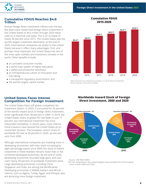

#### **Cumulative FDIUS Reaches \$4.6 Trillion**

Annual foreign direct investment inflows over the last few years have raised total foreign direct investment in the United States to \$4.6 trillion through 2020 measured on a historical-cost basis. This is an increase of nearly 40 percent since 2015. The United States was the world's largest investment destination at the end of 2020. International companies are drawn to the United States because it offers many advantages. First, and perhaps most important, the United States has one of the most open markets and investment climates in the world. Other benefits include:

- an unrivaled consumer market;
- a world-class system of higher education;
- a skilled and productive workforce;
- an entrepreneurial culture of innovation and risk-taking;
- a transparent regulatory environment; and
- the world's largest capital market.

#### **Cumulative FDIUS 2015-2020**



Data are shown on a historical-cost basis, or cost at time of investment. Source: Bureau of Economic Analysis

#### **United States Faces Intense Competition for Foreign Investment**

The United States faces stiff global competition for investment dollars. In 2020, it accounted for 26 percent of the world's inward stock of foreign direct investment, down significantly from 38 percent in 2000. In 2010, the United States' share of global FDI had fallen to just 17 percent, but international investment has since rebounded somewhat. In recent years, many international investors have favored the United States as an investment location. The European Union's share of worldwide FDI was at 28 percent in 2020, up two percent from 2000.

Although international companies are investing more in developing economies, with their share increasing by eight percentage points since 2000, the stock of inward investment in these markets remains lower than in the combined developed economies. By the end of 2020, developing economies recorded large gains and now claim nearly 30 percent of worldwide investment stock. Large developing economies, including China, Singapore, and India, are among the beneficiaries. Developing economies in Middle Eastern and African nations, such as Algeria, Turkey, Egypt, and Ethiopia, also are attracting more foreign investment.

#### **Worldwide Inward Stock of Foreign Direct Investment, 2000 and 2020**



Source: UNCTAD's *WIR21*

\*For fair comparisons, the United Kingdom was excluded from the European Union in both 2000 and 2020.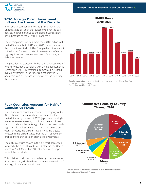**FDIUS Flows 2010-2020**



#### **2020 Foreign Direct Investment Inflows Are Lowest of the Decade**

International companies invested \$164 billion in the United States last year, the lowest level over the past decade, in large part due to the global business slowdown because of the COVID-19 pandemic.

These companies invested more than \$480 billion in the United States in both 2015 and 2016, more than twice the amount invested in 2014. Foreign direct investment in the United States consists of reinvestment of earnings, equity other than reinvestment of earnings, and debt instruments.

The past decade started with the second lowest level of inward investment, coinciding with the global economic recession in 2009. International companies increased overall investment in the American economy in 2010 and again in 2011, before leveling off for the following three years.

## 2010 2020 2011 2012 2013 2014 2015 2016 2017 2018 2019 **\$211 B \$217 B \$216 B \$212 B \$238 B \$211 B \$242 B \$480 B \$484 B \$325 B \$164 B**

Data for inward direct investment (foreign direct investment in the United States) are shown on a directional basis. Source: Bureau of Economic Analysis

#### **Four Countries Account for Half of Cumulative FDIUS**

Just a handful of countries provided the majority of the \$4.6 trillion in cumulative direct investment in the United States by the end of 2020. Japan was the single largest overseas investor, constituting nearly 15 percent of total cumulative foreign direct investment holdings. Canada and Germany each held 12 percent last year. For years, the United Kingdom was the largest investor in the United States, but the UK has recently dropped to fourth position after large divestments.

The eight countries shown in the pie chart accounted for nearly three-fourths of total FDI stock in the United States in 2020. More than 100 other countries represented the remainder.

This publication shows country data by ultimate beneficial ownership, which reflects the actual ownership of a foreign firm in the United States.

#### **Cumulative FDIUS by Country Through 2020**

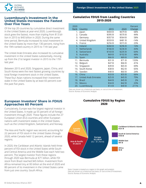### **2015-2020 Luxembourg's Investment in the United States Increases the Fastest Over Five Years**

Of the top 20 countries by cumulative direct investment in the United States at year-end 2020, Luxembourg's stock grew the fastest, more than tripling from \$13 billion in 2015 to \$40 billion in 2020. During the same time period, Bermuda increased its total investment in the United States by more than 130 percent, rising from the 19th-ranked country in 2015 to 11th last year.

The United Arab Emirates also increased its cumulative investment in the United States substantially, moving up from the 21st largest investor in 2015 to the 17th last year.

Between 2015 and 2020, Singapore, Japan, China, and South Korea were the next fastest growing countries by total foreign investment stock in the United States. These four Asian nations increased their investment stake in the United States by at least 65 percent over the past five years.

## **Cumulative FDIUS from Leading Countries**

| 2020<br><u>Rank</u> | Country                     | 2015    | 2020    | Percent<br>Change |
|---------------------|-----------------------------|---------|---------|-------------------|
| 1.                  | Japan                       | \$404 B | \$679 B | 68%               |
| 2.                  | Canada                      | \$395 B | \$570 B | 44%               |
| 3.                  | Germany                     | \$357 B | \$564 B | 58%               |
| 4.                  | United Kingdom              | \$559 B | \$481 B | $-14%$            |
| 5.                  | France                      | \$256 B | \$315 B | 23%               |
| 6.                  | Ireland                     | \$260 B | \$296 B | 14%               |
| 7 <sub>1</sub>      | <b>Netherlands</b>          | \$166 B | \$236 B | 43%               |
| 8.                  | Switzerland                 | \$143 B | \$235 B | 64%               |
| 9.                  | Australia                   | \$69 B  | \$102 B | 48%               |
| 10.                 | Spain                       | \$66 B  | \$89 B  | 34%               |
| 11.                 | Bermuda                     | \$31 B  | \$71 B  | 133%              |
| 12.                 | Belgium                     | \$47 B  | \$66 B  | 41%               |
| 13.                 | Singapore                   | \$39 B  | \$65 B  | 69%               |
| 14.                 | South Korea                 | \$38 B  | \$62 B  | 65%               |
| 15.                 | Sweden                      | \$48 B  | \$60 B  | 24%               |
| 16.                 | China                       | \$33 B  | \$55 B  | 66%               |
| 17.                 | <b>United Arab Emirates</b> | \$25 B  | \$45 B  | 79%               |
| 18.                 | <b>Brazil</b>               | \$44 B  | \$45 B  | 2%                |
| 19.                 | <b>Mexico</b>               | \$34 B  | \$42 B  | 23%               |
| 20.                 | Luxembourg                  | \$13 B  | \$40 B  | 211%              |

Data are shown on a historical-cost basis, or cost at time of investment. Source: Bureau of Economic Analysis

#### **European Investors' Share in FDIUS Approaches 60 Percent**

Cumulatively, Europe was the largest regional investor in the United States. It made up 55 percent of all foreign investment through 2020. These figures include the 27 European Union (EU) countries and other European nations with investment stakes in the United States, such as the United Kingdom, Switzerland, and Norway.

The Asia and Pacific region was second, accounting for 22 percent of FDI stock in the United States through 2020, while Canada held 12 percent, ahead of several regions.

In 2020, the Caribbean and Atlantic Islands held three percent of FDI stock in the United States while South and Central America and the Middle East each held two percent. The largest investor from these regions through 2020 was Bermuda at \$71 billion, while FDI stock from Brazil reached \$45 billion. Investment from Africa remained tiny at \$5 billion at the end of 2020 and 80 percent of its investment in the United States came from just one country: South Africa.

#### **Cumulative FDIUS by Region 2020**



Note: Canada is treated as a region in this graph and analysis. Data are shown on a historical-cost basis, or cost at time of investment. Source: Bureau of Economic Analysis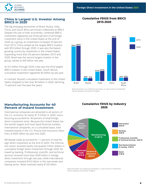

#### **2015-2020 China Is Largest U.S. Investor Among BRICS in 2020**

The big emerging economies of Brazil, Russia, India, China, and South Africa are known collectively as BRICS. Despite the size of their economies, combined BRICS' investment registered just three percent of all foreign investment stock in the United States at the end of 2020; as a group, its investment increased 25 percent from 2015. China ranked as the largest BRICS investor with \$55 billion through 2020. It was also the fastest growing country by investment in the United States, expanding more than 65 percent between 2015 and 2020. Brazil was the second largest investor in the group, valued at \$45 billion last year.

At \$13 billion through 2020, India was the third largest BRICS investor in the United States. South Africa's cumulative investment registered \$4 billion by last year.

In contrast, Russia's cumulative investment in the United States dropped to less than \$4 billion in 2020, declining 14 percent over the past five years.

## **Cumulative FDIUS from BRICS**



Data are shown on a historical-cost basis, or cost at time of investment. Source: Bureau of Economic Analysis

#### **Manufacturing Accounts for 40 Percent of Inward Investment**

International companies are attracted to all sectors of the U.S. economy. At nearly \$1.9 trillion in 2020, manufacturing accounted for 40 percent of total foreign direct investment stock. Because the United States has the world's largest and most liquid financial markets, international companies, on a cumulative basis, have invested heavily in the U.S. finance and insurance industries, at \$565 billion by year-end 2020.

Wholesale trade accounted for 11 percent of total foreign direct investment at the end of 2020. The information sector received nearly one-quarter trillion dollars in cumulative foreign direct investment through 2020, followed by banking. Professional, scientific, and technical services received more than \$200 billion in foreign direct investment through last year, while international companies invested \$162 billion in the real estate and leasing sector. Retail received nearly \$150 billion.

#### **Cumulative FDIUS by Industry 2020**

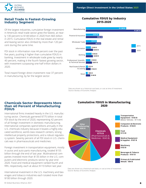

**GLOBAL BUSINESS ALLIANCE** 

#### **Retail Trade Is Fastest-Growing Industry Segment**

Of the largest industries, cumulative foreign investment in America's retail trade sector grew the fastest, at nearly 130 percent to \$148 billion in 2020 from \$65 billion in 2015. Cumulative FDIUS in the real estate and rental and leasing sector also climbed by more than 120 percent during the same time.

FDI stock in information rose 44 percent over the past five years, pushing it higher than cumulative FDIUS in banking. Investment in wholesale trade grew by nearly 40 percent, making it the fourth fastest growing sector, with investment surpassing one-half trillion dollars in 2020.

Total inward foreign direct investment rose 37 percent in manufacturing, by far the largest sector.

#### Retail Information Banking Professional, Scientific, & Technical Services Wholesale Trade Finance & Insurance Manufacturing 2015 2020 Real Estate & Rental & Leasing **\$168 B \$243 B \$194 B \$240 B \$159 B \$207 B \$72 B \$162 B \$65 B \$148 B \$1,360 B \$1,867 B \$444 B \$565 B \$370 B \$515 B**

#### **Cumulative FDIUS by Industry 2015-2020**

Data are shown on a historical-cost basis, or cost at time of investment. Source: Bureau of Economic Analysis

#### **Chemicals Sector Represents More than 40 Percent of Manufacturing FDIUS**

International firms invested heavily in the U.S. manufacturing sector. Chemicals garnered \$775 billion in total FDI stock by the end of 2020, representing 42 percent of all foreign investment in domestic manufacturing. International companies spend billions annually in the U.S. chemicals industry because it boasts a highly educated workforce, world-class research centers, strong intellectual property protections, and a robust regulatory system. Seventy percent of all FDI stock in U.S. chemicals was in pharmaceuticals and medicines.

Foreign investment in transportation equipment, mostly in autos and auto parts manufacturing, totaled \$155 billion through the end of last year. Multinational companies invested more than \$135 billion in the U.S. computers and electronic products sector by year-end 2020. Food and medical equipment ranked fourth and fifth, respectively, each at about \$110 billion last year.

International investment in the U.S. machinery and beverages and tobacco industries each totaled more than \$100 billion through 2020.

#### **Cumulative FDIUS in Manufacturing 2020**

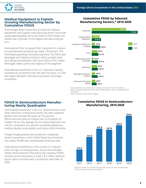

#### **Medical Equipment Is Fastest-Growing Manufacturing Sector by Cumulative FDIUS**

Total foreign direct investment in America's medical equipment and supplies manufacturing sector more than quadrupled between 2015 and 2020 to \$107 billion, the fastest rate of growth of the largest manufacturing sectors.

International firms increased their investment in computers and electronic products by nearly 150 percent. The third-fastest growing manufacturing sector by FDIUS was beverages and tobacco products, which jumped more than 80 percent between 2015 and 2020 to \$101 billion. Beverages make up the vast majority of this segment.

International investment in the U.S. chemicals industry increased by 34 percent over the past five years. It is also the largest domestic manufacturing sector by foreign investment.

#### **Cumulative FDIUS by Selected Manufacturing Sectors,\* 2015-2020**



Data are shown on a historical-cost basis, or cost at time of investment. \*Only manufacturing sectors with at least \$80 billion in 2020 cumulative FDIUS are shown.

Source: Bureau of Economic Analysis

#### **FDIUS in Semiconductors Manufacturing Nearly Quadruples**

International investment in the U.S. semiconductors and other electronic components sector has seen explosive growth over the past five years at 275 percent. Semiconductors play an integral role in all aspects of modern life as they operate as the computing brains not only for computers, but also for household appliances, medical devices, automobiles, and many other industries.

Foreign-headquartered semiconductor companies' recent investments in the United States has translated into nearly 58,000 well-compensated American jobs.

International investments in this crucial U.S. industry show no signs of slowing down. As just one example, Taiwan Semiconductor Manufacturing Company (TSMC) recently announced plans to build a \$12 billion semiconductor plant in Arizona with a production start date of

#### **Cumulative FDIUS in Semiconductors Manufacturing, 2015-2020**

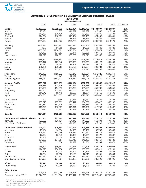

#### **Cumulative FDIUS Position by Country of Ultimate Beneficial Owner**

**2015-2020**

|                                       | (millions of dollars) |             |             |             |             |             |           |  |  |
|---------------------------------------|-----------------------|-------------|-------------|-------------|-------------|-------------|-----------|--|--|
|                                       | 2015                  | 2016        | 2017        | 2018        | 2019        | 2020        | 2015-2020 |  |  |
|                                       |                       |             |             |             |             |             |           |  |  |
| <b>Europe</b>                         | \$2,023,553           | \$2,099,972 | \$2,250,064 | \$2,449,723 | \$2,483,997 | \$2,529,907 | 25%       |  |  |
| Austria                               | \$3,181               | \$3,507     | \$11,527    | \$12,792    | \$13,548    | \$17,184    | 440%      |  |  |
| Belgium                               | \$47,192              | \$76,496    | \$54,925    | \$61,382    | \$63,575    | \$66,434    | 41%       |  |  |
| Denmark                               | \$14,534              | \$18,375    | \$18,464    | \$20,435    | \$24,036    | \$31,491    | 117%      |  |  |
| Finland                               | \$8,750               | \$8,203     | \$8,946     | \$9,774     | \$9,846     | \$10,046    | 15%       |  |  |
| France                                | \$255,524             | \$264,026   | \$276,789   | \$279,068   | \$295,743   | \$314,979   | 23%       |  |  |
| Germany                               | \$356,982             | \$347,963   | \$394,396   | \$470,806   | \$496,984   | \$564,294   | 58%       |  |  |
| Greece                                | \$978                 | \$1,055     | \$1,667     | \$1,680     | \$1,743     | \$1,788     | 83%       |  |  |
| Ireland                               | \$260,047             | \$234,899   | \$275,664   | \$351,891   | \$379,474   | \$296,425   | 14%       |  |  |
| Italy                                 | \$34,425              | \$34,583    | \$30,371    | \$33,286    | \$37,110    | \$37,871    | 10%       |  |  |
| Luxembourg                            | \$12,728              | \$28,851    | \$30,730    | \$32,519    | \$33,567    | \$39,609    | 211%      |  |  |
| Netherlands                           | \$165,597             | \$169,633   | \$197,696   | \$205,459   | \$216,015   | \$236,298   | 43%       |  |  |
|                                       |                       |             |             |             |             |             | 5%        |  |  |
| Norway                                | \$29,477              | \$25,848    | \$35,000    | \$37,561    | \$35,120    | \$31,059    |           |  |  |
| Russia                                | \$4,111               | \$4,265     | \$3,903     | \$3,686     | \$3,579     | \$3,521     | $-14%$    |  |  |
| Spain                                 | \$66,106              | \$70,766    | \$83,196    | \$88,354    | \$90,534    | \$88,660    | 34%       |  |  |
| Sweden                                | \$48,137              | \$53,132    | \$49,060    | \$49,813    | \$54,302    | \$59,609    | 24%       |  |  |
| Switzerland                           | \$143,403             | \$158,672   | \$157,245   | \$190,531   | \$210,025   | \$235,311   | 64%       |  |  |
| Turkey                                | \$1,969               | \$2,147     | \$2,327     | \$2,548     | \$2,623     | \$2,539     | 29%       |  |  |
| United Kingdom                        | \$558,931             | \$587,407   | \$608,289   | \$586,094   | \$504,189   | \$480,787   | $-14%$    |  |  |
| <b>Asia and Pacific</b>               | \$623,217             | \$719,135   | \$844,134   | \$827,097   | \$990,348   | \$1,021,517 | 64%       |  |  |
| Australia                             | \$68,733              | \$73,526    | \$80,891    | \$78,788    | \$93,451    | \$101,594   | 48%       |  |  |
| China                                 | \$33,050              | \$54,393    | \$63,220    | \$51,599    | \$53,708    | \$54,868    | 66%       |  |  |
| Hong Kong                             | \$14,567              | \$15,167    | \$16,166    | \$17,321    | \$18,627    | \$18,337    | 26%       |  |  |
| India                                 | \$11,647              | \$8,445     | \$6,669     | \$6,274     | \$12,755    | \$12,698    | 9%        |  |  |
|                                       |                       |             |             |             |             |             |           |  |  |
| Japan                                 | \$404,081             | \$431,555   | \$498,893   | \$522,315   | \$663,400   | \$679,000   | 68%       |  |  |
| New Zealand                           | \$509                 | \$356       | \$2,234     | \$3,152     | \$3,585     | \$3,397     | 567%      |  |  |
| Singapore                             | \$38,573              | \$77,885    | \$98,412    | \$64,658    | \$65,428    | \$65,207    | 69%       |  |  |
| South Korea                           | \$37,837              | \$41,129    | \$54,109    | \$56,783    | \$54,778    | \$62,401    | 65%       |  |  |
| Taiwan                                | \$10,249              | \$10,867    | \$16,841    | \$18,986    | \$17,763    | \$19,687    | 92%       |  |  |
| Thailand                              | \$514                 | \$2,132     | \$2,349     | \$2,253     | \$1,847     | \$1,809     | 252%      |  |  |
|                                       |                       |             |             |             |             |             |           |  |  |
| Canada                                | \$394,814             | \$422,956   | \$493,193   | \$534,800   | \$563,611   | \$569,788   | 44%       |  |  |
| <b>Caribbean and Atlantic Islands</b> | \$65,365              | \$65,109    | \$75,322    | \$88,996    | \$111,720   | \$120,781   | 85%       |  |  |
| Bermuda                               | \$30,555              | \$36,191    | \$34,443    | \$44,203    | \$63,894    | \$71,103    | 133%      |  |  |
| U.K. Islands, Caribbean               | \$11,559              | (D)         | \$21,306    | \$25,400    | \$27,181    | \$28,633    | 148%      |  |  |
| <b>South and Central America</b>      | \$94,092              | \$79,598    | \$100,094   | \$103,655   | \$105,523   | \$104,051   | 11%       |  |  |
| Argentina                             | \$5,134               | \$4,936     | \$4,965     | \$5,406     | \$5,799     | \$5,659     | 10%       |  |  |
| <b>Brazil</b>                         | \$43,662              | \$31,266    | \$48,617    | \$47,461    | \$48,319    | \$44,676    | 2%        |  |  |
| Chile                                 | \$2,394               | \$2,545     | \$2,434     | \$3,169     | \$3,572     | \$3,807     | 59%       |  |  |
| Colombia                              | \$2,443               | \$2,428     | \$2,574     | \$3,223     | \$4,066     | \$4,080     | 67%       |  |  |
| Mexico                                | \$34,390              | \$34,967    | \$37,715    | \$40,493    | \$39,661    | \$42,129    | 23%       |  |  |
| Venezuela                             | \$4,558               | \$1,830     | \$1,899     | \$1,886     | \$1,934     | \$1,671     | $-63%$    |  |  |
| <b>Middle East</b>                    | \$65,601              | \$99,662    | \$90,024    | \$91,595    | \$89,314    | \$91,071    | 39%       |  |  |
| Israel                                |                       | \$56,198    | \$39,063    | \$37,939    | \$33,811    | \$29,181    | 17%       |  |  |
|                                       | \$24,923              |             |             |             |             |             |           |  |  |
| Kuwait                                | \$808                 | \$1,704     | \$1,509     | \$1,674     | \$1,593     | \$1,563     | 93%       |  |  |
| Qatar                                 | \$2,784               | \$2,988     | \$3,109     | \$2,619     | \$3,561     | \$3,854     | 38%       |  |  |
| Saudi Arabia                          | \$11,497              | \$12,953    | \$14,814    | \$15,112    | \$14,017    | \$10,655    | $-7%$     |  |  |
| United Arab Emirates                  | \$24,978              | \$24,904    | \$30,463    | \$33,350    | \$35,220    | \$44,725    | 79%       |  |  |
| <b>Africa</b>                         | \$4,470               | \$4,484     | \$4,995     | \$5,184     | \$5,059     | \$5,477     | 23%       |  |  |
| South Africa                          | \$3,934               | \$3,880     | \$4,037     | \$4,225     | \$4,051     | \$4,443     | 13%       |  |  |
| <b>Other Areas</b>                    |                       |             |             |             |             |             |           |  |  |
| BRICS*                                | \$96,404              | \$102,249   | \$126,446   | \$113,245   | \$122,412   | \$120,206   | 25%       |  |  |
| European Union (27)**                 | \$1,274,299           | \$1,311,566 | \$1,433,417 | \$1,616,896 | \$1,715,686 | \$1,763,669 | 38%       |  |  |

D Suppressed to avoid disclosure of individual companies.

\*BRICS countries are Brazil, Russia, India, China, and South Africa. \*\*Does note include the United Kingdom. Source: Bureau of Economic Analysis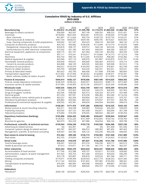

#### **Cumulative FDIUS by Industry of U.S. Affiliate 2015-2020**

**(millions of dollars)**

|                                                         | 2015                  | 2016                    | 2017        | 2018                  | 2019                    |                       | 2020 2015-2020 |
|---------------------------------------------------------|-----------------------|-------------------------|-------------|-----------------------|-------------------------|-----------------------|----------------|
| <b>Manufacturing</b>                                    |                       | \$1,359,812 \$1,476,461 | \$1,595,788 |                       | \$1,719,274 \$1,805,020 | \$1,866,756           | 37%            |
| Beverages & tobacco products                            | \$56,000              | \$62,547                | \$67,149    | \$96,355              | \$98,323                | \$101,451             | 81%            |
| Chemicals                                               | \$578,830             | \$641,834               | \$635,661   | \$705,532             | \$738,636               | \$775,448             | 34%            |
| <b>Basic chemicals</b>                                  | \$61,807              | \$112,626               | \$95,724    | \$100,723             | \$103,733               | \$103,231             | 67%            |
| Pharmaceuticals & medicines                             | \$447,164             | \$458,072               | \$439,185   | \$495,795             | \$510,421               | \$545,455             | 22%            |
| Soap, cleaning compounds, & toilet preparations         | \$20,602              | \$21,547                | \$54,225    | \$58,218              | \$63,569                | \$64,143              | 211%           |
| Computers & electronic products                         | \$54,743              | \$95,082                | \$106,636   | \$115,449             | \$119,719               | \$135,876             | 148%           |
| Navigational, measuring, & other instruments            | \$24,818              | \$38,137                | \$39,912    | \$44,144              | \$45,526                | \$46,588              | 88%            |
| Semiconductors & other electronic components            | \$15,542              | \$31,180                | \$41,834    | \$40,503              | \$46,266                | \$58,337              | 275%           |
| Electrical equipment, appliances, & components          | \$40,175              | \$41,757                | \$41,404    | \$56,144              | \$63,492                | \$65,339              | 63%            |
| Food                                                    | \$97,111              | \$70,241                | \$103,617   | \$110,666             | \$114,773               | \$112,510             | 16%            |
| Machinery                                               | \$92,754              | \$96,192                | \$112,205   | \$103,054             | \$98,283                | \$103,382             | 11%            |
| Medical equipment & supplies                            | \$25,940              | \$37,110                | \$90,970    | \$91,887              | \$103,870               | \$107,181             | 313%           |
| Nonmetallic mineral products                            | \$59,658              | \$59,031                | \$60,609    | \$66,464              | \$70,974                | \$76,714              | 29%            |
| Cement & concrete products                              | \$45,808              | \$46,139                | \$45,035    | \$49,304              | \$49,308                | \$51,012              | 11%            |
| Petroleum & coal products                               | \$94,012              | \$105,979               | \$104,393   | \$82,310              | \$76,801                | \$52,790              | $-44%$         |
| Plastics & rubber products                              | \$35,769              | \$40,808                | \$43,220    | \$42,331              | \$52,421                | \$53,321              | 49%            |
| Primary & fabricated metals<br>Transportation equipment | \$63,422<br>\$131,842 | \$55,700<br>\$137,494   | \$66,436    | \$71,868<br>\$136,869 | \$78,540                | \$83,843<br>\$155,341 | 32%<br>18%     |
|                                                         |                       |                         | \$128,352   |                       | \$149,471               |                       |                |
| Motor vehicles, bodies & trailers, & parts              | \$99,678              | \$109,429               | \$99,856    | \$105,107             | \$112,899               | \$115,496             | 16%            |
| <b>Finance &amp; insurance</b>                          | \$444,014             | \$435,127               | \$470,656   | \$467,449             | \$514,625               | \$564,555             | 27%            |
| Finance, except depository institutions                 | \$246,329             | \$238,222               | \$260,551   | \$263,472             | \$289,116               | \$315,469             | 28%            |
| Insurance carriers & related activities                 | \$197,685             | \$196,905               | \$210,106   | \$203,977             | \$225,509               | \$249,086             | 26%            |
| <b>Wholesale trade</b>                                  | \$369,535             | \$365,373               | \$432,749   | \$447,112             | \$475,509               | \$515,010             | 39%            |
| Chemical & allied products                              | \$7,249               | \$23,463                | \$26,524    | \$26,374              | \$28,945                | \$31,963              | 341%           |
| Drugs & druggists' sundries                             | \$52,546              | \$38,096                | \$25,315    | \$26,324              | \$31,679                | \$37,448              | $-29%$         |
| Electrical goods                                        | \$57,254              | \$47,991                | \$76,258    | \$86,382              | \$93,340                | \$114,234             | 100%           |
| Motor vehicles & motor vehicle parts & supplies         | \$63,227              | \$62,304                | \$59,854    | \$61,537              | \$63,651                | \$70,757              | 12%            |
| Petroleum & petroleum products                          | \$65,882              | \$53,582                | \$82,923    | \$79,937              | \$77,557                | \$69,785              | 6%             |
| Professional & commercial equipment & supplies          | \$28,562              | \$32,381                | \$44,634    | \$44,504              | \$45,669                | \$48,419              | 70%            |
| <b>Information</b>                                      | \$168,281             | \$171,474               | \$197,266   | \$208,932             | \$216,525               | \$243,163             | 44%            |
| Motion picture & sound recording industries             | \$22,411              | \$26,298                | \$28,983    | \$34,642              | \$35,269                | \$34,870              | 56%            |
| Publishing industries                                   | \$29,545              | \$27,125                | \$41,058    | \$42,871              | \$50,699                | \$51,708              | 75%            |
| Telecommunications                                      | \$75,684              | \$74,339                | \$78,555    | \$80,662              | \$82,207                | \$100,354             | 33%            |
| <b>Depository institutions (banking)</b>                | \$193,896             | \$204,455               | \$209,485   | \$226,657             | \$230,844               | \$239,567             | 24%            |
| Banks                                                   | \$130,923             | \$152,226               | \$151,499   | \$162,603             | \$164,742               | \$169,769             | 30%            |
| Branches & agencies                                     | \$62,973              | \$52,229                | \$57,986    | \$64,054              | \$66,102                | \$69,798              | 11%            |
|                                                         |                       |                         |             |                       |                         |                       |                |
| Professional, scientific, & technical services          | \$159,044             | \$184,230               | \$193,718   | \$182,920             | \$204,368               | \$207,238             | 30%            |
| Advertising & related services                          | (D)                   | \$32,491                | (D)         | (D)                   | \$31,458                | \$31,345              | N/A            |
| Computer systems design & related services              | \$62,787              | \$65,597                | \$66,014    | \$80,383              | \$87,455                | \$87,402              | 39%            |
| Management, scientific, & technical consulting          | \$34,507              | \$20,786                | \$26,125    | \$35,296              | \$45,536                | \$46,692              | 35%            |
| Real estate & rental & leasing                          | \$72,452              | \$99,340                | \$136,172   | \$156,992             | \$161,948               | \$161,889             | 123%           |
| Real estate                                             | \$52,755              | \$74,839                | \$90,944    | \$116,771             | \$124,453               | \$133,926             | 154%           |
| <b>Retail trade</b>                                     | \$64,610              | \$70,078                | \$81,837    | \$136,206             | \$141,790               | \$147,906             | 129%           |
| Food & beverage stores                                  | \$28,497              | \$29,529                | \$37,274    | \$36,330              | \$39,717                | \$43,512              | 53%            |
| Health & personal care stores                           | \$7,913               | \$10,671                | \$11,105    | \$61,715              | \$61,786                | \$62,337              | 688%           |
| <b>Other industries</b>                                 | \$523,263             | \$555,270               | \$634,644   | \$634,441             | \$688,626               | \$680,369             | 30%            |
| Accommodation & food services                           | \$17,766              | \$22,388                | \$30,197    | \$25,817              | \$27,659                | \$28,060              | 58%            |
| Administration, support, & waste management             | \$31,925              | \$35,753                | \$31,568    | \$33,023              | \$34,659                | \$36,290              | 14%            |
| Construction                                            | \$23,178              | \$25,807                | \$30,818    | \$29,532              | \$41,568                | \$40,711              | 76%            |
| Holding companies (nonbank)                             | \$174,971             | \$189,399               | \$229,593   | \$227,773             | \$238,333               | \$241,305             | 38%            |
| Mining                                                  | \$117,142             | \$93,054                | \$101,822   | \$97,982              | \$105,050               | \$89,361              | $-24%$         |
| Transportation & warehousing                            | \$70,394              | \$85,969                | \$94,948    | \$94,693              | \$98,867                | \$97,867              | 39%            |
| Utilities                                               | \$62,878              | \$75,369                | \$88,600    | \$95,707              | \$110,500               | \$115,692             | 84%            |
| Addendum:                                               |                       |                         |             |                       |                         |                       |                |
| Petroleum*                                              | \$260,158             | \$253,851               | \$295,935   | \$259,770             | \$263,708               | \$216,203             | $-17%$         |
|                                                         |                       |                         |             |                       |                         |                       |                |

D Suppressed to avoid disclosure of individual companies.<br>\*Petroleum consists of oil and gas extraction; support activities for oil and gas extraction; petroleum and coal products manufacturing; petroleum and petroleum pro